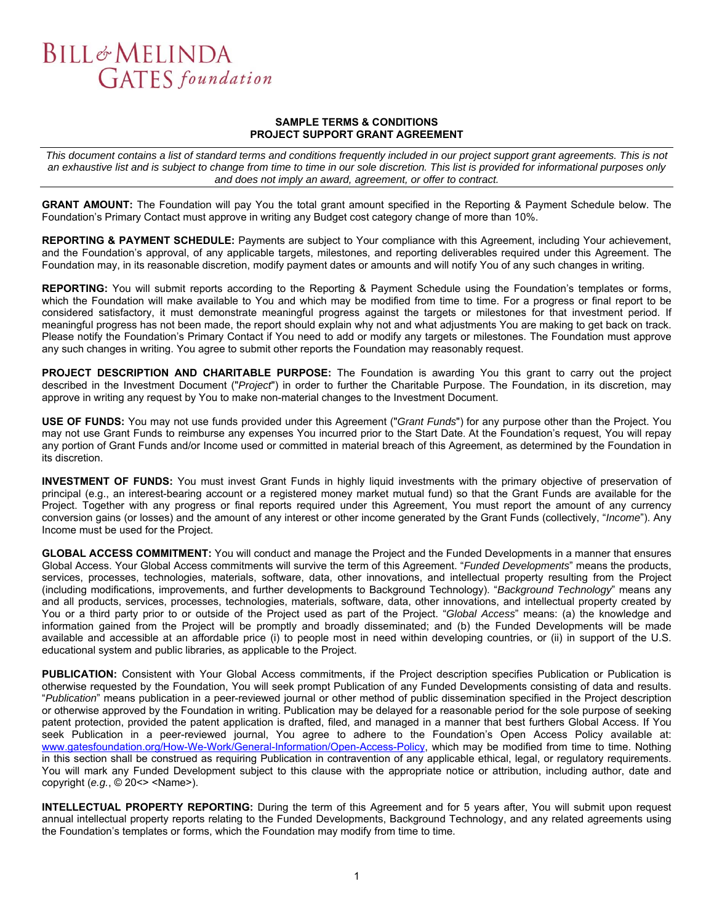#### **SAMPLE TERMS & CONDITIONS PROJECT SUPPORT GRANT AGREEMENT**

*This document contains a list of standard terms and conditions frequently included in our project support grant agreements. This is not an exhaustive list and is subject to change from time to time in our sole discretion. This list is provided for informational purposes only and does not imply an award, agreement, or offer to contract.* 

**GRANT AMOUNT:** The Foundation will pay You the total grant amount specified in the Reporting & Payment Schedule below. The Foundation's Primary Contact must approve in writing any Budget cost category change of more than 10%.

**REPORTING & PAYMENT SCHEDULE:** Payments are subject to Your compliance with this Agreement, including Your achievement, and the Foundation's approval, of any applicable targets, milestones, and reporting deliverables required under this Agreement. The Foundation may, in its reasonable discretion, modify payment dates or amounts and will notify You of any such changes in writing.

**REPORTING:** You will submit reports according to the Reporting & Payment Schedule using the Foundation's templates or forms, which the Foundation will make available to You and which may be modified from time to time. For a progress or final report to be considered satisfactory, it must demonstrate meaningful progress against the targets or milestones for that investment period. If meaningful progress has not been made, the report should explain why not and what adjustments You are making to get back on track. Please notify the Foundation's Primary Contact if You need to add or modify any targets or milestones. The Foundation must approve any such changes in writing. You agree to submit other reports the Foundation may reasonably request.

**PROJECT DESCRIPTION AND CHARITABLE PURPOSE:** The Foundation is awarding You this grant to carry out the project described in the Investment Document ("*Project*") in order to further the Charitable Purpose. The Foundation, in its discretion, may approve in writing any request by You to make non-material changes to the Investment Document.

**USE OF FUNDS:** You may not use funds provided under this Agreement ("*Grant Funds*") for any purpose other than the Project. You may not use Grant Funds to reimburse any expenses You incurred prior to the Start Date. At the Foundation's request, You will repay any portion of Grant Funds and/or Income used or committed in material breach of this Agreement, as determined by the Foundation in its discretion.

**INVESTMENT OF FUNDS:** You must invest Grant Funds in highly liquid investments with the primary objective of preservation of principal (e.g., an interest-bearing account or a registered money market mutual fund) so that the Grant Funds are available for the Project. Together with any progress or final reports required under this Agreement, You must report the amount of any currency conversion gains (or losses) and the amount of any interest or other income generated by the Grant Funds (collectively, "*Income*"). Any Income must be used for the Project.

**GLOBAL ACCESS COMMITMENT:** You will conduct and manage the Project and the Funded Developments in a manner that ensures Global Access. Your Global Access commitments will survive the term of this Agreement. "*Funded Developments*" means the products, services, processes, technologies, materials, software, data, other innovations, and intellectual property resulting from the Project (including modifications, improvements, and further developments to Background Technology). "*Background Technology*" means any and all products, services, processes, technologies, materials, software, data, other innovations, and intellectual property created by You or a third party prior to or outside of the Project used as part of the Project. "*Global Access*" means: (a) the knowledge and information gained from the Project will be promptly and broadly disseminated; and (b) the Funded Developments will be made available and accessible at an affordable price (i) to people most in need within developing countries, or (ii) in support of the U.S. educational system and public libraries, as applicable to the Project.

**PUBLICATION:** Consistent with Your Global Access commitments, if the Project description specifies Publication or Publication is otherwise requested by the Foundation, You will seek prompt Publication of any Funded Developments consisting of data and results. "*Publication*" means publication in a peer-reviewed journal or other method of public dissemination specified in the Project description or otherwise approved by the Foundation in writing. Publication may be delayed for a reasonable period for the sole purpose of seeking patent protection, provided the patent application is drafted, filed, and managed in a manner that best furthers Global Access. If You seek Publication in a peer-reviewed journal, You agree to adhere to the Foundation's Open Access Policy available at: www.gatesfoundation.org/How-We-Work/General-Information/Open-Access-Policy, which may be modified from time to time. Nothing in this section shall be construed as requiring Publication in contravention of any applicable ethical, legal, or regulatory requirements. You will mark any Funded Development subject to this clause with the appropriate notice or attribution, including author, date and copyright (*e.g.*, © 20<> <Name>).

**INTELLECTUAL PROPERTY REPORTING:** During the term of this Agreement and for 5 years after, You will submit upon request annual intellectual property reports relating to the Funded Developments, Background Technology, and any related agreements using the Foundation's templates or forms, which the Foundation may modify from time to time.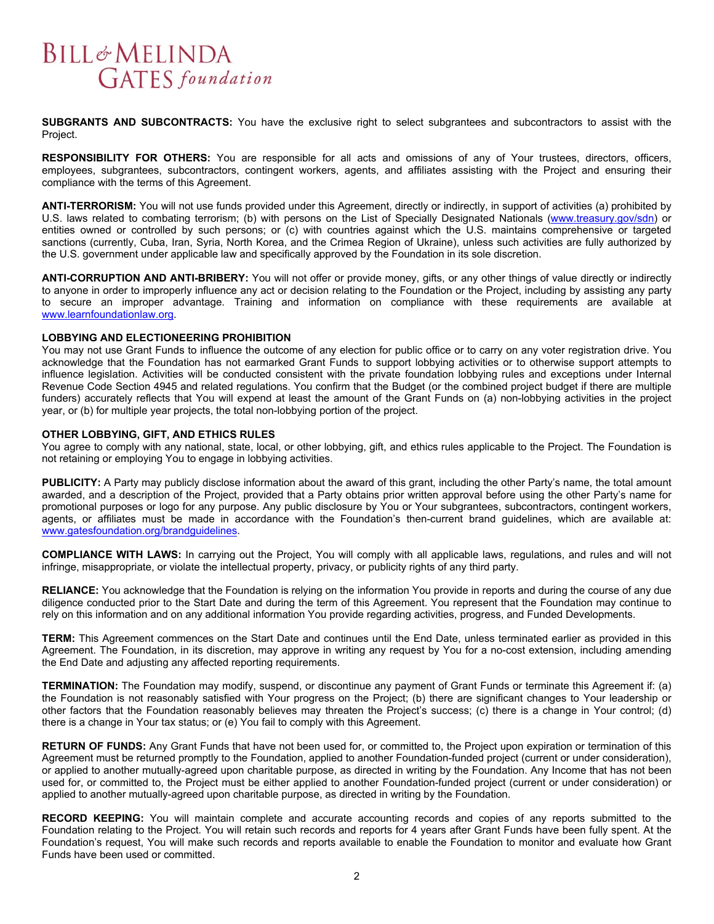**SUBGRANTS AND SUBCONTRACTS:** You have the exclusive right to select subgrantees and subcontractors to assist with the Project.

**RESPONSIBILITY FOR OTHERS:** You are responsible for all acts and omissions of any of Your trustees, directors, officers, employees, subgrantees, subcontractors, contingent workers, agents, and affiliates assisting with the Project and ensuring their compliance with the terms of this Agreement.

**ANTI-TERRORISM:** You will not use funds provided under this Agreement, directly or indirectly, in support of activities (a) prohibited by U.S. laws related to combating terrorism; (b) with persons on the List of Specially Designated Nationals (www.treasury.gov/sdn) or entities owned or controlled by such persons; or (c) with countries against which the U.S. maintains comprehensive or targeted sanctions (currently, Cuba, Iran, Syria, North Korea, and the Crimea Region of Ukraine), unless such activities are fully authorized by the U.S. government under applicable law and specifically approved by the Foundation in its sole discretion.

**ANTI-CORRUPTION AND ANTI-BRIBERY:** You will not offer or provide money, gifts, or any other things of value directly or indirectly to anyone in order to improperly influence any act or decision relating to the Foundation or the Project, including by assisting any party to secure an improper advantage. Training and information on compliance with these requirements are available at www.learnfoundationlaw.org.

#### **LOBBYING AND ELECTIONEERING PROHIBITION**

You may not use Grant Funds to influence the outcome of any election for public office or to carry on any voter registration drive. You acknowledge that the Foundation has not earmarked Grant Funds to support lobbying activities or to otherwise support attempts to influence legislation. Activities will be conducted consistent with the private foundation lobbying rules and exceptions under Internal Revenue Code Section 4945 and related regulations. You confirm that the Budget (or the combined project budget if there are multiple funders) accurately reflects that You will expend at least the amount of the Grant Funds on (a) non-lobbying activities in the project year, or (b) for multiple year projects, the total non-lobbying portion of the project.

#### **OTHER LOBBYING, GIFT, AND ETHICS RULES**

You agree to comply with any national, state, local, or other lobbying, gift, and ethics rules applicable to the Project. The Foundation is not retaining or employing You to engage in lobbying activities.

**PUBLICITY:** A Party may publicly disclose information about the award of this grant, including the other Party's name, the total amount awarded, and a description of the Project, provided that a Party obtains prior written approval before using the other Party's name for promotional purposes or logo for any purpose. Any public disclosure by You or Your subgrantees, subcontractors, contingent workers, agents, or affiliates must be made in accordance with the Foundation's then-current brand guidelines, which are available at: www.gatesfoundation.org/brandguidelines.

**COMPLIANCE WITH LAWS:** In carrying out the Project, You will comply with all applicable laws, regulations, and rules and will not infringe, misappropriate, or violate the intellectual property, privacy, or publicity rights of any third party.

**RELIANCE:** You acknowledge that the Foundation is relying on the information You provide in reports and during the course of any due diligence conducted prior to the Start Date and during the term of this Agreement. You represent that the Foundation may continue to rely on this information and on any additional information You provide regarding activities, progress, and Funded Developments.

**TERM:** This Agreement commences on the Start Date and continues until the End Date, unless terminated earlier as provided in this Agreement. The Foundation, in its discretion, may approve in writing any request by You for a no-cost extension, including amending the End Date and adjusting any affected reporting requirements.

**TERMINATION:** The Foundation may modify, suspend, or discontinue any payment of Grant Funds or terminate this Agreement if: (a) the Foundation is not reasonably satisfied with Your progress on the Project; (b) there are significant changes to Your leadership or other factors that the Foundation reasonably believes may threaten the Project's success; (c) there is a change in Your control; (d) there is a change in Your tax status; or (e) You fail to comply with this Agreement.

**RETURN OF FUNDS:** Any Grant Funds that have not been used for, or committed to, the Project upon expiration or termination of this Agreement must be returned promptly to the Foundation, applied to another Foundation-funded project (current or under consideration), or applied to another mutually-agreed upon charitable purpose, as directed in writing by the Foundation. Any Income that has not been used for, or committed to, the Project must be either applied to another Foundation-funded project (current or under consideration) or applied to another mutually-agreed upon charitable purpose, as directed in writing by the Foundation.

**RECORD KEEPING:** You will maintain complete and accurate accounting records and copies of any reports submitted to the Foundation relating to the Project. You will retain such records and reports for 4 years after Grant Funds have been fully spent. At the Foundation's request, You will make such records and reports available to enable the Foundation to monitor and evaluate how Grant Funds have been used or committed.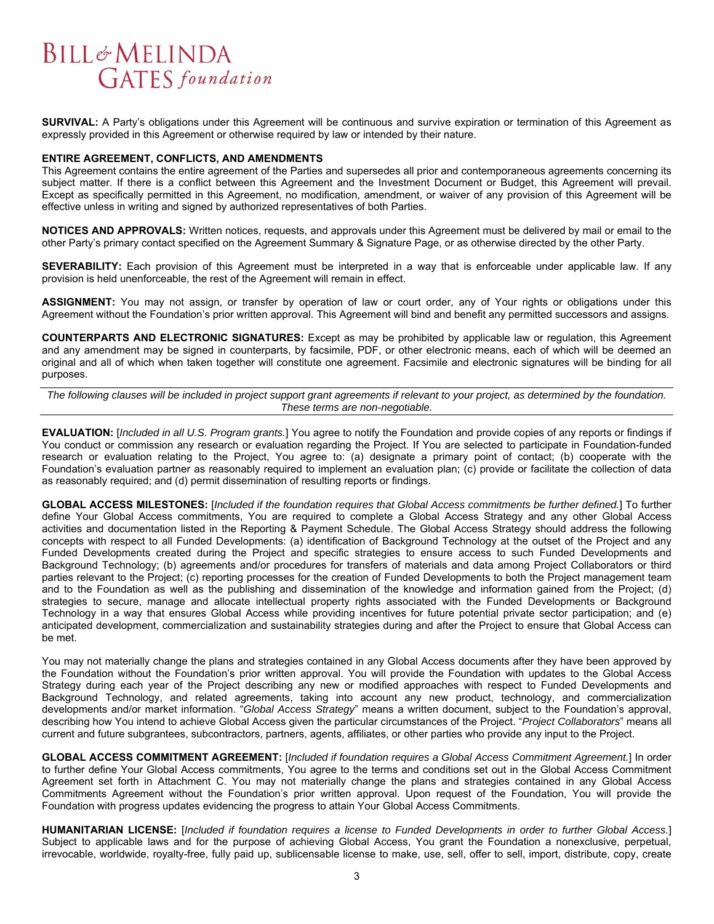**SURVIVAL:** A Party's obligations under this Agreement will be continuous and survive expiration or termination of this Agreement as expressly provided in this Agreement or otherwise required by law or intended by their nature.

#### **ENTIRE AGREEMENT, CONFLICTS, AND AMENDMENTS**

This Agreement contains the entire agreement of the Parties and supersedes all prior and contemporaneous agreements concerning its subject matter. If there is a conflict between this Agreement and the Investment Document or Budget, this Agreement will prevail. Except as specifically permitted in this Agreement, no modification, amendment, or waiver of any provision of this Agreement will be effective unless in writing and signed by authorized representatives of both Parties.

**NOTICES AND APPROVALS:** Written notices, requests, and approvals under this Agreement must be delivered by mail or email to the other Party's primary contact specified on the Agreement Summary & Signature Page, or as otherwise directed by the other Party.

**SEVERABILITY:** Each provision of this Agreement must be interpreted in a way that is enforceable under applicable law. If any provision is held unenforceable, the rest of the Agreement will remain in effect.

**ASSIGNMENT:** You may not assign, or transfer by operation of law or court order, any of Your rights or obligations under this Agreement without the Foundation's prior written approval. This Agreement will bind and benefit any permitted successors and assigns.

**COUNTERPARTS AND ELECTRONIC SIGNATURES:** Except as may be prohibited by applicable law or regulation, this Agreement and any amendment may be signed in counterparts, by facsimile, PDF, or other electronic means, each of which will be deemed an original and all of which when taken together will constitute one agreement. Facsimile and electronic signatures will be binding for all purposes.

*The following clauses will be included in project support grant agreements if relevant to your project, as determined by the foundation. These terms are non-negotiable.* 

**EVALUATION:** [*Included in all U.S. Program grants.*] You agree to notify the Foundation and provide copies of any reports or findings if You conduct or commission any research or evaluation regarding the Project. If You are selected to participate in Foundation-funded research or evaluation relating to the Project, You agree to: (a) designate a primary point of contact; (b) cooperate with the Foundation's evaluation partner as reasonably required to implement an evaluation plan; (c) provide or facilitate the collection of data as reasonably required; and (d) permit dissemination of resulting reports or findings.

**GLOBAL ACCESS MILESTONES:** [*Included if the foundation requires that Global Access commitments be further defined.*] To further define Your Global Access commitments, You are required to complete a Global Access Strategy and any other Global Access activities and documentation listed in the Reporting & Payment Schedule. The Global Access Strategy should address the following concepts with respect to all Funded Developments: (a) identification of Background Technology at the outset of the Project and any Funded Developments created during the Project and specific strategies to ensure access to such Funded Developments and Background Technology; (b) agreements and/or procedures for transfers of materials and data among Project Collaborators or third parties relevant to the Project; (c) reporting processes for the creation of Funded Developments to both the Project management team and to the Foundation as well as the publishing and dissemination of the knowledge and information gained from the Project; (d) strategies to secure, manage and allocate intellectual property rights associated with the Funded Developments or Background Technology in a way that ensures Global Access while providing incentives for future potential private sector participation; and (e) anticipated development, commercialization and sustainability strategies during and after the Project to ensure that Global Access can be met.

You may not materially change the plans and strategies contained in any Global Access documents after they have been approved by the Foundation without the Foundation's prior written approval. You will provide the Foundation with updates to the Global Access Strategy during each year of the Project describing any new or modified approaches with respect to Funded Developments and Background Technology, and related agreements, taking into account any new product, technology, and commercialization developments and/or market information. "*Global Access Strategy*" means a written document, subject to the Foundation's approval, describing how You intend to achieve Global Access given the particular circumstances of the Project. "*Project Collaborators*" means all current and future subgrantees, subcontractors, partners, agents, affiliates, or other parties who provide any input to the Project.

**GLOBAL ACCESS COMMITMENT AGREEMENT:** [*Included if foundation requires a Global Access Commitment Agreement.*] In order to further define Your Global Access commitments, You agree to the terms and conditions set out in the Global Access Commitment Agreement set forth in Attachment C. You may not materially change the plans and strategies contained in any Global Access Commitments Agreement without the Foundation's prior written approval. Upon request of the Foundation, You will provide the Foundation with progress updates evidencing the progress to attain Your Global Access Commitments.

**HUMANITARIAN LICENSE:** [*Included if foundation requires a license to Funded Developments in order to further Global Access.*] Subject to applicable laws and for the purpose of achieving Global Access, You grant the Foundation a nonexclusive, perpetual, irrevocable, worldwide, royalty-free, fully paid up, sublicensable license to make, use, sell, offer to sell, import, distribute, copy, create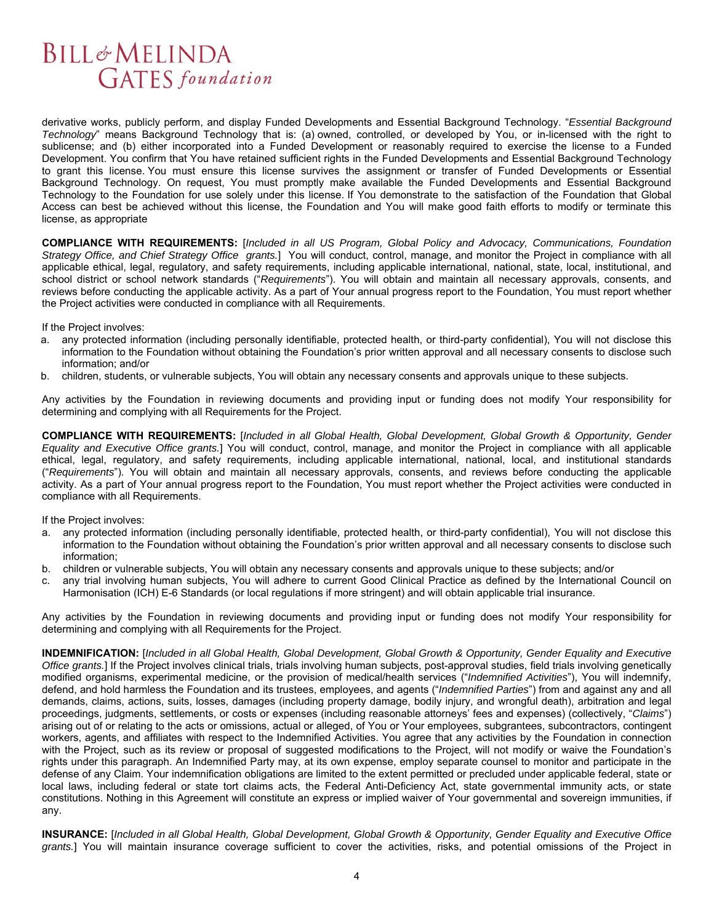derivative works, publicly perform, and display Funded Developments and Essential Background Technology. "*Essential Background Technology*" means Background Technology that is: (a) owned, controlled, or developed by You, or in-licensed with the right to sublicense; and (b) either incorporated into a Funded Development or reasonably required to exercise the license to a Funded Development. You confirm that You have retained sufficient rights in the Funded Developments and Essential Background Technology to grant this license. You must ensure this license survives the assignment or transfer of Funded Developments or Essential Background Technology. On request, You must promptly make available the Funded Developments and Essential Background Technology to the Foundation for use solely under this license. If You demonstrate to the satisfaction of the Foundation that Global Access can best be achieved without this license, the Foundation and You will make good faith efforts to modify or terminate this license, as appropriate

**COMPLIANCE WITH REQUIREMENTS:** [*Included in all US Program, Global Policy and Advocacy, Communications, Foundation Strategy Office, and Chief Strategy Office grants.*] You will conduct, control, manage, and monitor the Project in compliance with all applicable ethical, legal, regulatory, and safety requirements, including applicable international, national, state, local, institutional, and school district or school network standards ("*Requirements*"). You will obtain and maintain all necessary approvals, consents, and reviews before conducting the applicable activity. As a part of Your annual progress report to the Foundation, You must report whether the Project activities were conducted in compliance with all Requirements.

If the Project involves:

- a. any protected information (including personally identifiable, protected health, or third-party confidential), You will not disclose this information to the Foundation without obtaining the Foundation's prior written approval and all necessary consents to disclose such information; and/or
- b. children, students, or vulnerable subjects, You will obtain any necessary consents and approvals unique to these subjects.

Any activities by the Foundation in reviewing documents and providing input or funding does not modify Your responsibility for determining and complying with all Requirements for the Project.

**COMPLIANCE WITH REQUIREMENTS:** [*Included in all Global Health, Global Development, Global Growth & Opportunity, Gender Equality and Executive Office grants.*] You will conduct, control, manage, and monitor the Project in compliance with all applicable ethical, legal, regulatory, and safety requirements, including applicable international, national, local, and institutional standards ("*Requirements*"). You will obtain and maintain all necessary approvals, consents, and reviews before conducting the applicable activity. As a part of Your annual progress report to the Foundation, You must report whether the Project activities were conducted in compliance with all Requirements.

If the Project involves:

- a. any protected information (including personally identifiable, protected health, or third-party confidential), You will not disclose this information to the Foundation without obtaining the Foundation's prior written approval and all necessary consents to disclose such information;
- b. children or vulnerable subjects, You will obtain any necessary consents and approvals unique to these subjects; and/or
- c. any trial involving human subjects, You will adhere to current Good Clinical Practice as defined by the International Council on Harmonisation (ICH) E-6 Standards (or local regulations if more stringent) and will obtain applicable trial insurance.

Any activities by the Foundation in reviewing documents and providing input or funding does not modify Your responsibility for determining and complying with all Requirements for the Project.

**INDEMNIFICATION:** [*Included in all Global Health, Global Development, Global Growth & Opportunity, Gender Equality and Executive Office grants.*] If the Project involves clinical trials, trials involving human subjects, post-approval studies, field trials involving genetically modified organisms, experimental medicine, or the provision of medical/health services ("*Indemnified Activities*"), You will indemnify, defend, and hold harmless the Foundation and its trustees, employees, and agents ("*Indemnified Parties*") from and against any and all demands, claims, actions, suits, losses, damages (including property damage, bodily injury, and wrongful death), arbitration and legal proceedings, judgments, settlements, or costs or expenses (including reasonable attorneys' fees and expenses) (collectively, "*Claims*") arising out of or relating to the acts or omissions, actual or alleged, of You or Your employees, subgrantees, subcontractors, contingent workers, agents, and affiliates with respect to the Indemnified Activities. You agree that any activities by the Foundation in connection with the Project, such as its review or proposal of suggested modifications to the Project, will not modify or waive the Foundation's rights under this paragraph. An Indemnified Party may, at its own expense, employ separate counsel to monitor and participate in the defense of any Claim. Your indemnification obligations are limited to the extent permitted or precluded under applicable federal, state or local laws, including federal or state tort claims acts, the Federal Anti-Deficiency Act, state governmental immunity acts, or state constitutions. Nothing in this Agreement will constitute an express or implied waiver of Your governmental and sovereign immunities, if any.

**INSURANCE:** [*Included in all Global Health, Global Development, Global Growth & Opportunity, Gender Equality and Executive Office grants.*] You will maintain insurance coverage sufficient to cover the activities, risks, and potential omissions of the Project in